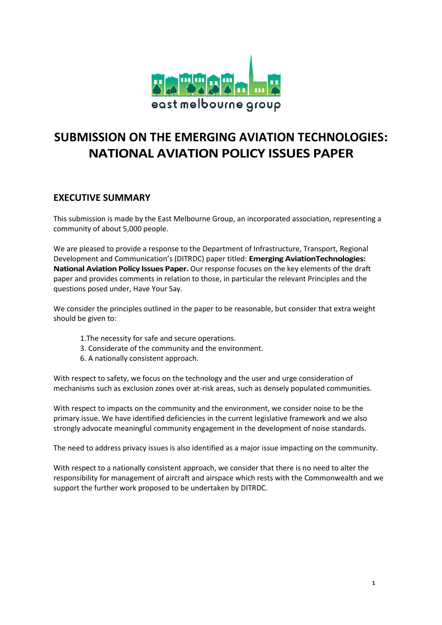

# **SUBMISSION ON THE EMERGING AVIATION TECHNOLOGIES: NATIONAL AVIATION POLICY ISSUES PAPER**

# **EXECUTIVE SUMMARY**

This submission is made by the East Melbourne Group, an incorporated association, representing a community of about 5,000 people.

We are pleased to provide a response to the Department of Infrastructure, Transport, Regional Development and Communication's (DITRDC) paper titled: **Emerging AviationTechnologies: National Aviation Policy Issues Paper.** Our response focuses on the key elements of the draft paper and provides comments in relation to those, in particular the relevant Principles and the questions posed under, Have Your Say.

We consider the principles outlined in the paper to be reasonable, but consider that extra weight should be given to:

- 1.The necessity for safe and secure operations.
- 3. Considerate of the community and the environment.
- 6. A nationally consistent approach.

With respect to safety, we focus on the technology and the user and urge consideration of mechanisms such as exclusion zones over at-risk areas, such as densely populated communities.

With respect to impacts on the community and the environment, we consider noise to be the primary issue. We have identified deficiencies in the current legislative framework and we also strongly advocate meaningful community engagement in the development of noise standards.

The need to address privacy issues is also identified as a major issue impacting on the community.

With respect to a nationally consistent approach, we consider that there is no need to alter the responsibility for management of aircraft and airspace which rests with the Commonwealth and we support the further work proposed to be undertaken by DITRDC.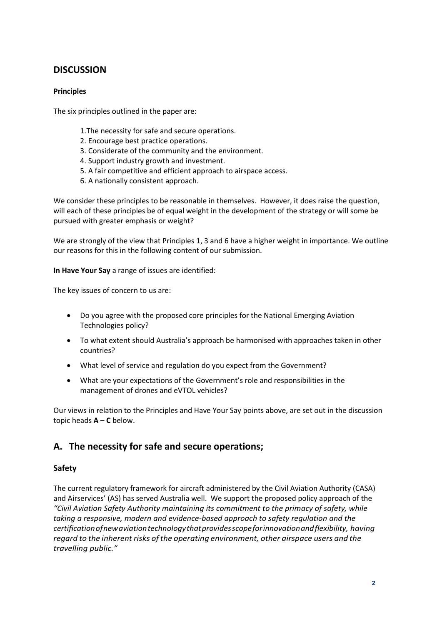# **DISCUSSION**

## **Principles**

The six principles outlined in the paper are:

- 1.The necessity for safe and secure operations.
- 2. Encourage best practice operations.
- 3. Considerate of the community and the environment.
- 4. Support industry growth and investment.
- 5. A fair competitive and efficient approach to airspace access.
- 6. A nationally consistent approach.

We consider these principles to be reasonable in themselves. However, it does raise the question, will each of these principles be of equal weight in the development of the strategy or will some be pursued with greater emphasis or weight?

We are strongly of the view that Principles 1, 3 and 6 have a higher weight in importance. We outline our reasons for this in the following content of our submission.

**In Have Your Say** a range of issues are identified:

The key issues of concern to us are:

- Do you agree with the proposed core principles for the National Emerging Aviation Technologies policy?
- To what extent should Australia's approach be harmonised with approaches taken in other countries?
- What level of service and regulation do you expect from the Government?
- What are your expectations of the Government's role and responsibilities in the management of drones and eVTOL vehicles?

Our views in relation to the Principles and Have Your Say points above, are set out in the discussion topic heads **A – C** below.

# **A. The necessity for safe and secure operations;**

## **Safety**

The current regulatory framework for aircraft administered by the Civil Aviation Authority (CASA) and Airservices' (AS) has served Australia well. We support the proposed policy approach of the *"Civil Aviation Safety Authority maintaining its commitment to the primacy of safety, while taking a responsive, modern and evidence-based approach to safety regulation and the certificationofnewaviationtechnologythatprovidesscopeforinnovationandflexibility, having regard to the inherent risks ofthe operating environment, other airspace users and the travelling public."*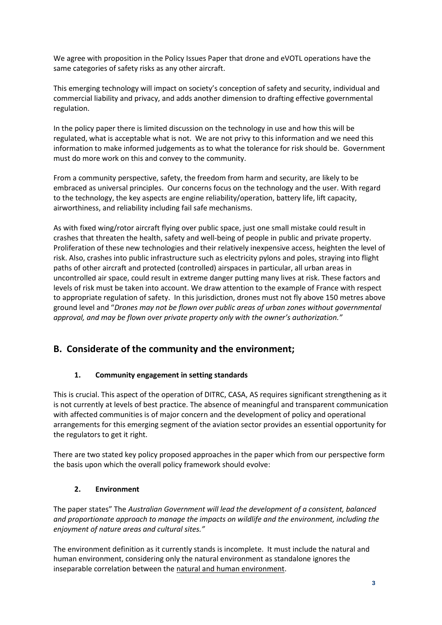We agree with proposition in the Policy Issues Paper that drone and eVOTL operations have the same categories of safety risks as any other aircraft.

This emerging technology will impact on society's conception of safety and security, individual and commercial liability and privacy, and adds another dimension to drafting effective governmental regulation.

In the policy paper there is limited discussion on the technology in use and how this will be regulated, what is acceptable what is not. We are not privy to this information and we need this information to make informed judgements as to what the tolerance for risk should be. Government must do more work on this and convey to the community.

From a community perspective, safety, the freedom from harm and security, are likely to be embraced as universal principles. Our concerns focus on the technology and the user. With regard to the technology, the key aspects are engine reliability/operation, battery life, lift capacity, airworthiness, and reliability including fail safe mechanisms.

As with fixed wing/rotor aircraft flying over public space, just one small mistake could result in crashes that threaten the health, safety and well-being of people in public and private property. Proliferation of these new technologies and their relatively inexpensive access, heighten the level of risk. Also, crashes into public infrastructure such as electricity pylons and poles, straying into flight paths of other aircraft and protected (controlled) airspaces in particular, all urban areas in uncontrolled air space, could result in extreme danger putting many lives at risk. These factors and levels of risk must be taken into account. We draw attention to the example of France with respect to appropriate regulation of safety. In this jurisdiction, drones must not fly above 150 metres above ground level and "*Drones may not be flown over public areas of urban zones without governmental approval, and may be flown over private property only with the owner's authorization."*

# **B. Considerate of the community and the environment;**

## **1. Community engagement in setting standards**

This is crucial. This aspect of the operation of DITRC, CASA, AS requires significant strengthening as it is not currently at levels of best practice. The absence of meaningful and transparent communication with affected communities is of major concern and the development of policy and operational arrangements for this emerging segment of the aviation sector provides an essential opportunity for the regulators to get it right.

There are two stated key policy proposed approaches in the paper which from our perspective form the basis upon which the overall policy framework should evolve:

## **2. Environment**

The paper states" The *Australian Government will lead the development of a consistent, balanced and proportionate approach to manage the impacts on wildlife and the environment, including the enjoyment of nature areas and cultural sites."*

The environment definition as it currently stands is incomplete. It must include the natural and human environment, considering only the natural environment as standalone ignores the inseparable correlation between the natural and human environment.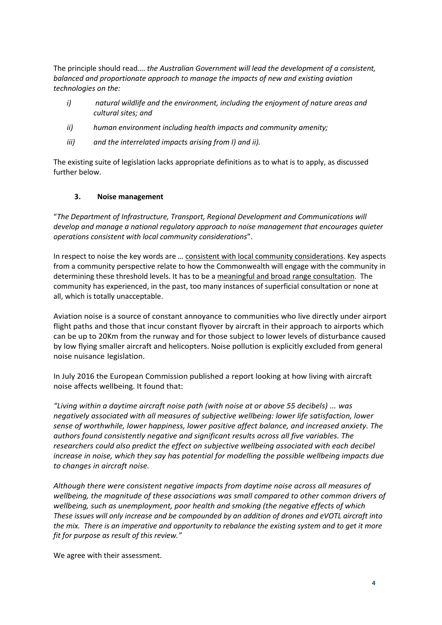The principle should read…. *the Australian Government will lead the development of a consistent, balanced and proportionate approach to manage the impacts of new and existing aviation technologies on the:*

- *i) natural wildlife and the environment, including the enjoyment of nature areas and cultural sites; and*
- *ii) human environment including health impacts and community amenity;*
- *iii) and the interrelated impacts arising from I) and ii).*

The existing suite of legislation lacks appropriate definitions as to what is to apply, as discussed further below.

### **3. Noise management**

"*The Department of Infrastructure, Transport, Regional Development and Communications will develop and manage a national regulatory approach to noise management that encourages quieter operations consistent with local community considerations*".

In respect to noise the key words are ... consistent with local community considerations. Key aspects from a community perspective relate to how the Commonwealth will engage with the community in determining these threshold levels. It has to be a meaningful and broad range consultation. The community has experienced, in the past, too many instances of superficial consultation or none at all, which is totally unacceptable.

Aviation noise is a source of constant annoyance to communities who live directly under airport flight paths and those that incur constant flyover by aircraft in their approach to airports which can be up to 20Km from the runway and for those subject to lower levels of disturbance caused by low flying smaller aircraft and helicopters. Noise pollution is explicitly excluded from general noise nuisance legislation.

In July 2016 the European Commission published a report looking at how living with aircraft noise affects wellbeing. It found that:

*"Living within a daytime aircraft noise path (with noise at or above 55 decibels) … was negatively associated with all measures of subjective wellbeing: lower life satisfaction, lower sense of worthwhile, lower happiness, lower positive affect balance, and increased anxiety. The authors found consistently negative and significant results across all five variables. The researchers could also predict the effect on subjective wellbeing associated with each decibel increase in noise, which they say has potential for modelling the possible wellbeing impacts due to changes in aircraft noise.*

*Although there were consistent negative impacts from daytime noise across all measures of wellbeing, the magnitude of these associations was small compared to other common drivers of wellbeing, such as unemployment, poor health and smoking (the negative effects of which These issues will only increase and be compounded by an addition of drones and eVOTL aircraft into the mix. There is an imperative and opportunity to rebalance the existing system and to get it more fit for purpose as result of this review."*

We agree with their assessment.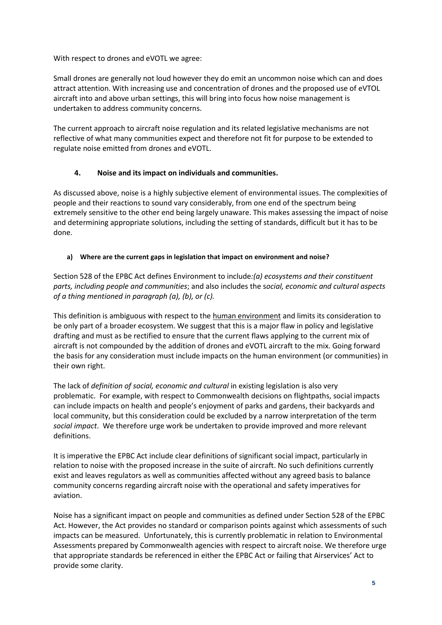With respect to drones and eVOTL we agree:

Small drones are generally not loud however they do emit an uncommon noise which can and does attract attention. With increasing use and concentration of drones and the proposed use of eVTOL aircraft into and above urban settings, this will bring into focus how noise management is undertaken to address community concerns.

The current approach to aircraft noise regulation and its related legislative mechanisms are not reflective of what many communities expect and therefore not fit for purpose to be extended to regulate noise emitted from drones and eVOTL.

## **4. Noise and its impact on individuals and communities.**

As discussed above, noise is a highly subjective element of environmental issues. The complexities of people and their reactions to sound vary considerably, from one end of the spectrum being extremely sensitive to the other end being largely unaware. This makes assessing the impact of noise and determining appropriate solutions, including the setting of standards, difficult but it has to be done.

## **a) Where are the current gaps in legislation that impact on environment and noise?**

Section 528 of the EPBC Act defines Environment to include*:(a) ecosystems and their constituent parts, including people and communities*; and also includes the s*ocial, economic and cultural aspects of a thing mentioned in paragraph (a), (b), or (c).*

This definition is ambiguous with respect to the human environment and limits its consideration to be only part of a broader ecosystem. We suggest that this is a major flaw in policy and legislative drafting and must as be rectified to ensure that the current flaws applying to the current mix of aircraft is not compounded by the addition of drones and eVOTL aircraft to the mix. Going forward the basis for any consideration must include impacts on the human environment (or communities) in their own right.

The lack of *definition of social, economic and cultural* in existing legislation is also very problematic. For example, with respect to Commonwealth decisions on flightpaths, social impacts can include impacts on health and people's enjoyment of parks and gardens, their backyards and local community, but this consideration could be excluded by a narrow interpretation of the term *social impact*. We therefore urge work be undertaken to provide improved and more relevant definitions.

It is imperative the EPBC Act include clear definitions of significant social impact, particularly in relation to noise with the proposed increase in the suite of aircraft. No such definitions currently exist and leaves regulators as well as communities affected without any agreed basis to balance community concerns regarding aircraft noise with the operational and safety imperatives for aviation.

Noise has a significant impact on people and communities as defined under Section 528 of the EPBC Act. However, the Act provides no standard or comparison points against which assessments of such impacts can be measured. Unfortunately, this is currently problematic in relation to Environmental Assessments prepared by Commonwealth agencies with respect to aircraft noise. We therefore urge that appropriate standards be referenced in either the EPBC Act or failing that Airservices' Act to provide some clarity.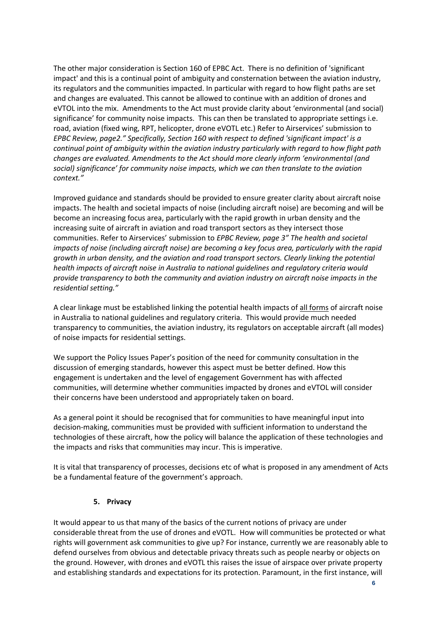The other major consideration is Section 160 of EPBC Act. There is no definition of 'significant impact' and this is a continual point of ambiguity and consternation between the aviation industry, its regulators and the communities impacted. In particular with regard to how flight paths are set and changes are evaluated. This cannot be allowed to continue with an addition of drones and eVTOL into the mix. Amendments to the Act must provide clarity about 'environmental (and social) significance' for community noise impacts. This can then be translated to appropriate settings i.e. road, aviation (fixed wing, RPT, helicopter, drone eVOTL etc.) Refer to Airservices' submission to *EPBC Review, page2." Specifically, Section 160 with respect to defined 'significant impact' is a continual point of ambiguity within the aviation industry particularly with regard to how flight path changes are evaluated. Amendments to the Act should more clearly inform 'environmental (and social) significance' for community noise impacts, which we can then translate to the aviation context."*

Improved guidance and standards should be provided to ensure greater clarity about aircraft noise impacts. The health and societal impacts of noise (including aircraft noise) are becoming and will be become an increasing focus area, particularly with the rapid growth in urban density and the increasing suite of aircraft in aviation and road transport sectors as they intersect those communities. Refer to Airservices' submission to *EPBC Review, page 3" The health and societal impacts of noise (including aircraft noise) are becoming a key focus area, particularly with the rapid growth in urban density, and the aviation and road transport sectors. Clearly linking the potential health impacts of aircraft noise in Australia to national guidelines and regulatory criteria would provide transparency to both the community and aviation industry on aircraft noise impacts in the residential setting."*

A clear linkage must be established linking the potential health impacts of all forms of aircraft noise in Australia to national guidelines and regulatory criteria. This would provide much needed transparency to communities, the aviation industry, its regulators on acceptable aircraft (all modes) of noise impacts for residential settings.

We support the Policy Issues Paper's position of the need for community consultation in the discussion of emerging standards, however this aspect must be better defined. How this engagement is undertaken and the level of engagement Government has with affected communities, will determine whether communities impacted by drones and eVTOL will consider their concerns have been understood and appropriately taken on board.

As a general point it should be recognised that for communities to have meaningful input into decision-making, communities must be provided with sufficient information to understand the technologies of these aircraft, how the policy will balance the application of these technologies and the impacts and risks that communities may incur. This is imperative.

It is vital that transparency of processes, decisions etc of what is proposed in any amendment of Acts be a fundamental feature of the government's approach.

### **5. Privacy**

It would appear to us that many of the basics of the current notions of privacy are under considerable threat from the use of drones and eVOTL. How will communities be protected or what rights will government ask communities to give up? For instance, currently we are reasonably able to defend ourselves from obvious and detectable privacy threats such as people nearby or objects on the ground. However, with drones and eVOTL this raises the issue of airspace over private property and establishing standards and expectations for its protection. Paramount, in the first instance, will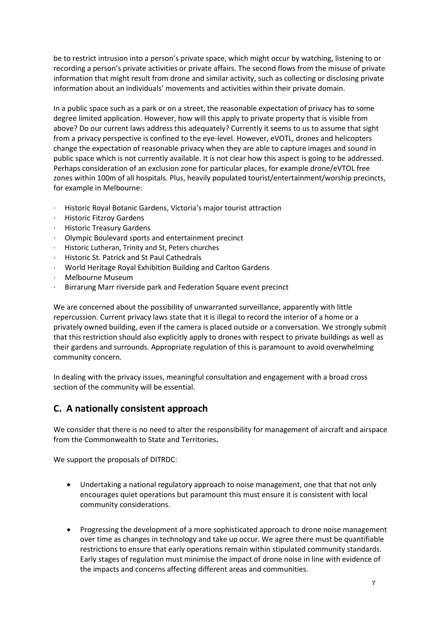be to restrict intrusion into a person's private space, which might occur by watching, listening to or recording a person's private activities or private affairs. The second flows from the misuse of private information that might result from drone and similar activity, such as collecting or disclosing private information about an individuals' movements and activities within their private domain.

In a public space such as a park or on a street, the reasonable expectation of privacy has to some degree limited application. However, how will this apply to private property that is visible from above? Do our current laws address this adequately? Currently it seems to us to assume that sight from a privacy perspective is confined to the eye-level. However, eVOTL, drones and helicopters change the expectation of reasonable privacy when they are able to capture images and sound in public space which is not currently available. It is not clear how this aspect is going to be addressed. Perhaps consideration of an exclusion zone for particular places, for example drone/eVTOL free zones within 100m of all hospitals. Plus, heavily populated tourist/entertainment/worship precincts, for example in Melbourne:

- · Historic Royal Botanic Gardens, Victoria's major tourist attraction
- · Historic Fitzroy Gardens
- · Historic Treasury Gardens
- · Olympic Boulevard sports and entertainment precinct
- · Historic Lutheran, Trinity and St, Peters churches
- · Historic St. Patrick and St Paul Cathedrals
- · World Heritage Royal Exhibition Building and Carlton Gardens
- · Melbourne Museum
- Birrarung Marr riverside park and Federation Square event precinct

We are concerned about the possibility of unwarranted surveillance, apparently with little repercussion. Current privacy laws state that it is illegal to record the interior of a home or a privately owned building, even if the camera is placed outside or a conversation. We strongly submit that this restriction should also explicitly apply to drones with respect to private buildings as well as their gardens and surrounds. Appropriate regulation of this is paramount to avoid overwhelming community concern.

In dealing with the privacy issues, meaningful consultation and engagement with a broad cross section of the community will be essential.

# **C. A nationally consistent approach**

We consider that there is no need to alter the responsibility for management of aircraft and airspace from the Commonwealth to State and Territories**.**

We support the proposals of DITRDC:

- Undertaking a national regulatory approach to noise management, one that that not only encourages quiet operations but paramount this must ensure it is consistent with local community considerations.
- Progressing the development of a more sophisticated approach to drone noise management over time as changes in technology and take up occur. We agree there must be quantifiable restrictions to ensure that early operations remain within stipulated community standards. Early stages of regulation must minimise the impact of drone noise in line with evidence of the impacts and concerns affecting different areas and communities.